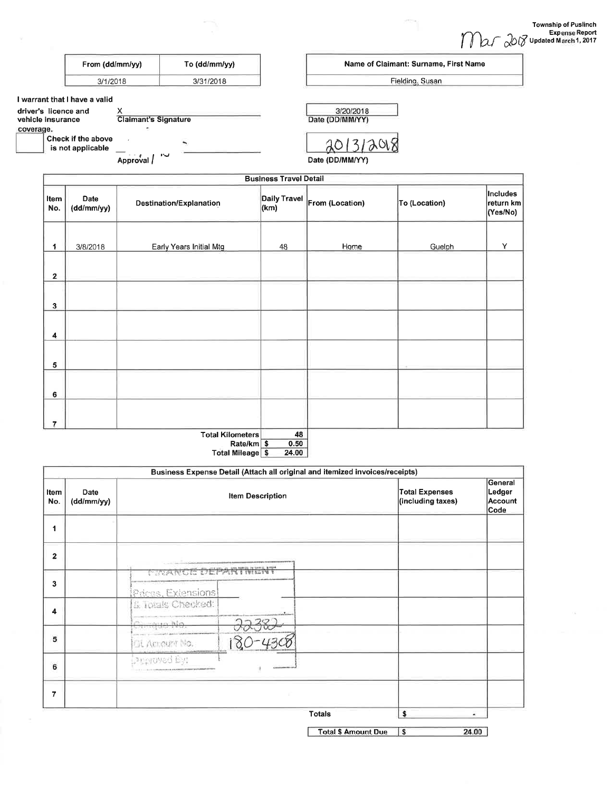etnia,

|                                                                                         | From (dd/mm/yy)                                                               | To $(dd/mm/yy)$ | Name of Claimant: Surname, First Name     |          |
|-----------------------------------------------------------------------------------------|-------------------------------------------------------------------------------|-----------------|-------------------------------------------|----------|
|                                                                                         | 3/31/2018<br>3/1/2018                                                         |                 | Fielding, Susan                           |          |
| I warrant that I have a valid<br>driver's licence and<br>vehicle insurance<br>coverage. | <b>Claimant's Signature</b><br><b>Check if the above</b><br>is not applicable | W               | 3/20/2018<br>Date (DD/MM/YY)<br>201312018 |          |
|                                                                                         | Approval                                                                      |                 | Date (DD/MM/YY)                           |          |
|                                                                                         |                                                                               |                 | <b>Business Travel Detail</b>             |          |
|                                                                                         |                                                                               |                 |                                           | Includes |

| Item<br>No.  | Date<br>(dd/mm/yy) | Destination/Explanation | (km) | Daily Travel From (Location) | To (Location) | Includes<br>∣return km∣<br>(Yes/No) |
|--------------|--------------------|-------------------------|------|------------------------------|---------------|-------------------------------------|
|              |                    |                         |      |                              |               |                                     |
| 1            | 3/8/2018           | Early Years Initial Mtg | 48   | Home                         | Guelph        | Y                                   |
| $\mathbf{2}$ |                    |                         |      |                              |               |                                     |
| $\mathbf{3}$ |                    |                         |      |                              |               |                                     |
| 4            |                    |                         |      |                              |               |                                     |
| 5            |                    |                         |      |                              |               |                                     |
| 6            |                    |                         |      |                              |               |                                     |
| 7            |                    |                         |      |                              |               |                                     |
|              |                    | <b>Total Kilometers</b> | 48   |                              |               |                                     |

Rate/km<br>Total Mileage \$  $\frac{0.50}{24.00}$ 

|                |                    |                                          |  | Business Expense Detail (Attach all original and itemized invoices/receipts) |                                            | General                   |
|----------------|--------------------|------------------------------------------|--|------------------------------------------------------------------------------|--------------------------------------------|---------------------------|
| Item<br>No.    | Date<br>(dd/mm/yy) | <b>Item Description</b>                  |  |                                                                              | <b>Total Expenses</b><br>(including taxes) | Ledger<br>Account<br>Code |
| 1              |                    |                                          |  |                                                                              |                                            |                           |
| $\mathbf{2}$   |                    |                                          |  |                                                                              |                                            |                           |
| 3              |                    | TERRASULATION LOCAL PROVISION            |  |                                                                              |                                            |                           |
| 4              |                    | Prices, Extensions<br>& Totals Checked:  |  |                                                                              |                                            |                           |
|                |                    | <del>Chinque No</del>                    |  |                                                                              |                                            |                           |
| 5              |                    | OL Account No.                           |  |                                                                              |                                            |                           |
| 6              |                    | Laugroved By:<br>120111-01030-0040-010-0 |  |                                                                              |                                            |                           |
| $\overline{7}$ |                    |                                          |  |                                                                              |                                            |                           |
|                |                    |                                          |  | <b>Totals</b>                                                                | \$                                         | ×                         |
|                |                    |                                          |  | <b>Total \$ Amount Due</b>                                                   | \$                                         | 24.00                     |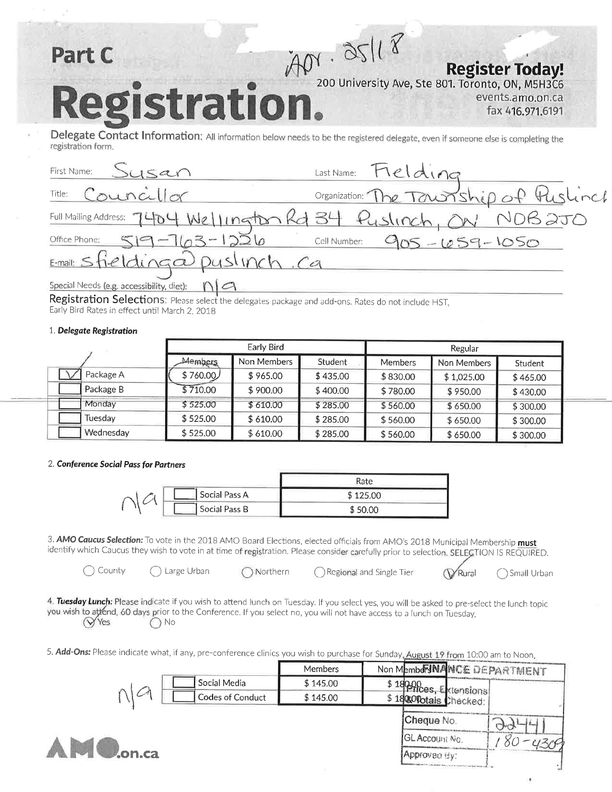### $APY - QS118$ Part C **Register Today!** 200 University Ave, Ste 801. Toronto, ON, M5H3C6 tration. events.amo.on.ca fax 416.971.6191

Delegate Contact Information: All information below needs to be the registered delegate, even if someone else is completing the registration form.

| First Name: Susan                                             | Last Name: Fielding                                              |
|---------------------------------------------------------------|------------------------------------------------------------------|
| Title: Councillor                                             | Organization: The Township of Puslinch                           |
|                                                               | Full Mailing Address: 7404 Wellington Rd 34 Puslinch, ON NOB 2JO |
| Office Phone: 519-763-1226                                    | Cell Number: 905-659-1050                                        |
| E-mail: sfielding a puslinch. Ca                              |                                                                  |
| Special Needs (e.g. accessibility, diet): $\bigcap$ $\bigcap$ |                                                                  |

Registration Selections: Please select the delegates package and add-ons. Rates do not include HST, Early Bird Rates in effect until March 2, 2018

#### 1. Delegate Registration

|           | Early Bird     |             |          | Regular        |             |          |
|-----------|----------------|-------------|----------|----------------|-------------|----------|
|           | <b>Members</b> | Non Members | Student  | <b>Members</b> | Non Members | Student  |
| Package A | \$760.00/      | \$965.00    | \$435.00 | \$830.00       | \$1,025,00  | \$465.00 |
| Package B | \$710.00       | \$900.00    | \$400.00 | \$780.00       | \$950.00    | \$430.00 |
| Monday    | \$525.00       | \$610.00    | \$285.00 | \$560.00       | \$650.00    | \$300.00 |
| Tuesdav   | \$525.00       | \$610.00    | \$285.00 | \$560.00       | \$650.00    | \$300.00 |
| Wednesday | \$525.00       | \$610.00    | \$285.00 | \$560.00       | \$650.00    | \$300.00 |

#### 2. Conference Social Pass for Partners

|  |               | Rate     |
|--|---------------|----------|
|  | Social Pass A | \$125.00 |
|  | Social Pass B | \$50.00  |

Northern

3. AMO Caucus Selection: To vote in the 2018 AMO Board Elections, elected officials from AMO's 2018 Municipal Membership must identify which Caucus they wish to vote in at time of registration. Please consider carefully prior to selection. SELECTION IS REQUIRED.

County

Large Urban

Regional and Single Tier

Rural Small Urban

4. Tuesday Lunch: Please indicate if you wish to attend lunch on Tuesday. If you select yes, you will be asked to pre-select the lunch topic you wish to attend, 60 days prior to the Conference. If you select no, you will not have access to a lunch on Tuesday. **VYes** ) No

5. Add-Ons: Please indicate what, if any, pre-conference clinics you wish to purchase for Sunday, August 19 from 10:00 am to Noon.

|               |                  | Members  | Non Members NANCE DEPARTMENT |  |
|---------------|------------------|----------|------------------------------|--|
|               | Social Media     | \$145.00 | \$18000 Extensions!          |  |
|               | Codes of Conduct | \$145.00 | \$18 & Onotals Checked:      |  |
|               |                  |          | Cheque No.                   |  |
|               |                  |          | (GL Account No.              |  |
| <b>Jon.ca</b> |                  |          | Approved By:                 |  |